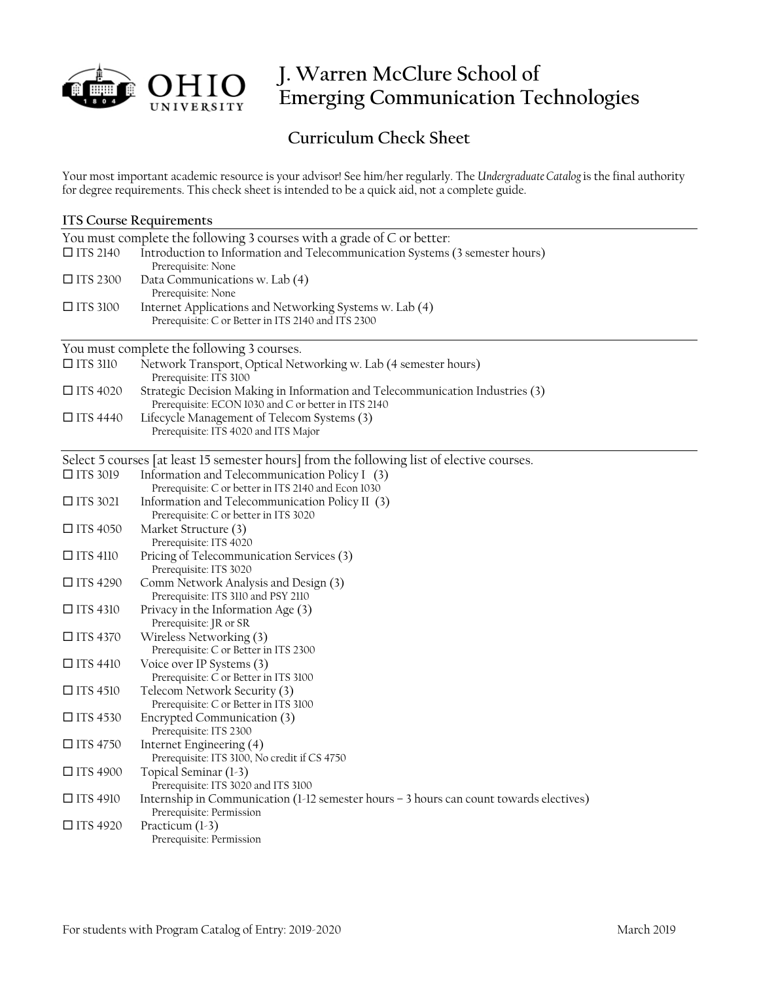

# **J. Warren McClure School of Emerging Communication Technologies**

# **Curriculum Check Sheet**

Your most important academic resource is your advisor! See him/her regularly. The *Undergraduate Catalog* is the final authority for degree requirements. This check sheet is intended to be a quick aid, not a complete guide.

| <b>ITS Course Requirements</b>                                                             |                                                                                                                                      |  |
|--------------------------------------------------------------------------------------------|--------------------------------------------------------------------------------------------------------------------------------------|--|
| You must complete the following 3 courses with a grade of C or better:                     |                                                                                                                                      |  |
| $\Box$ ITS 2140                                                                            | Introduction to Information and Telecommunication Systems (3 semester hours)<br>Prerequisite: None                                   |  |
| $\square$ ITS 2300                                                                         | Data Communications w. Lab (4)                                                                                                       |  |
|                                                                                            | Prerequisite: None                                                                                                                   |  |
| $\square$ ITS 3100                                                                         | Internet Applications and Networking Systems w. Lab (4)<br>Prerequisite: C or Better in ITS 2140 and ITS 2300                        |  |
| You must complete the following 3 courses.                                                 |                                                                                                                                      |  |
| $\Box$ ITS 3110                                                                            | Network Transport, Optical Networking w. Lab (4 semester hours)<br>Prerequisite: ITS 3100                                            |  |
| $\Box$ ITS 4020                                                                            | Strategic Decision Making in Information and Telecommunication Industries (3)<br>Prerequisite: ECON 1030 and C or better in ITS 2140 |  |
| $\Box$ ITS 4440                                                                            | Lifecycle Management of Telecom Systems (3)<br>Prerequisite: ITS 4020 and ITS Major                                                  |  |
| Select 5 courses [at least 15 semester hours] from the following list of elective courses. |                                                                                                                                      |  |
| $\Box$ ITS 3019                                                                            | Information and Telecommunication Policy I (3)<br>Prerequisite: C or better in ITS 2140 and Econ 1030                                |  |
| $\Box$ ITS 3021                                                                            | Information and Telecommunication Policy II (3)<br>Prerequisite: C or better in ITS 3020                                             |  |
| $\Box$ ITS 4050                                                                            | Market Structure (3)<br>Prerequisite: ITS 4020                                                                                       |  |
| $\Box$ ITS 4110                                                                            | Pricing of Telecommunication Services (3)<br>Prerequisite: ITS 3020                                                                  |  |
| $\Box$ ITS 4290                                                                            | Comm Network Analysis and Design (3)<br>Prerequisite: ITS 3110 and PSY 2110                                                          |  |
| $\Box$ ITS 4310                                                                            | Privacy in the Information Age (3)<br>Prerequisite: JR or SR                                                                         |  |
| $\Box$ ITS 4370                                                                            | Wireless Networking (3)<br>Prerequisite: C or Better in ITS 2300                                                                     |  |
| $\Box$ ITS 4410                                                                            | Voice over IP Systems (3)<br>Prerequisite: C or Better in ITS 3100                                                                   |  |
| $\Box$ ITS 4510                                                                            | Telecom Network Security (3)<br>Prerequisite: C or Better in ITS 3100                                                                |  |
| $\Box$ ITS 4530                                                                            | Encrypted Communication (3)<br>Prerequisite: ITS 2300                                                                                |  |
| $\Box$ ITS 4750                                                                            | Internet Engineering (4)<br>Prerequisite: ITS 3100, No credit if CS 4750                                                             |  |
| $\Box$ ITS 4900                                                                            | Topical Seminar (1-3)<br>Prerequisite: ITS 3020 and ITS 3100                                                                         |  |
| $\Box$ ITS 4910                                                                            | Internship in Communication (1-12 semester hours - 3 hours can count towards electives)<br>Prerequisite: Permission                  |  |
| $\Box$ ITS 4920                                                                            | Practicum $(1-3)$<br>Prerequisite: Permission                                                                                        |  |